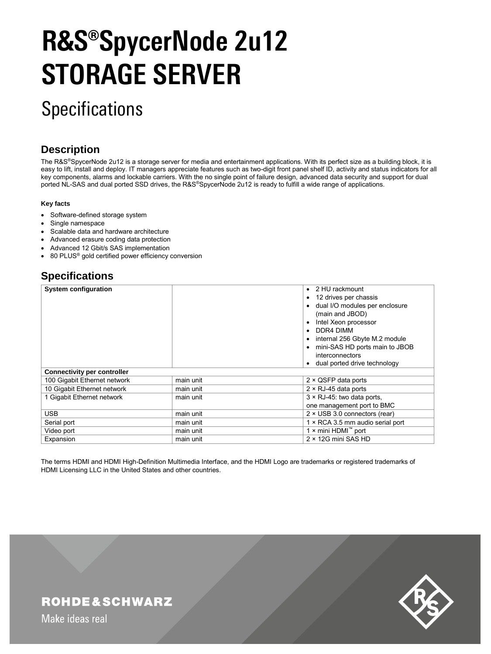# **R&S®SpycerNode 2u12 STORAGE SERVER**

# **Specifications**

# **Description**

The R&S®SpycerNode 2u12 is a storage server for media and entertainment applications. With its perfect size as a building block, it is easy to lift, install and deploy. IT managers appreciate features such as two-digit front panel shelf ID, activity and status indicators for all key components, alarms and lockable carriers. With the no single point of failure design, advanced data security and support for dual ported NL-SAS and dual ported SSD drives, the R&S®SpycerNode 2u12 is ready to fulfill a wide range of applications.

#### **Key facts**

- Software-defined storage system
- Single namespace
- Scalable data and hardware architecture
- Advanced erasure coding data protection
- Advanced 12 Gbit/s SAS implementation
- 80 PLUS® gold certified power efficiency conversion

# **Specifications**

| <b>System configuration</b>        |           | 2 HU rackmount<br>$\bullet$<br>12 drives per chassis<br>٠<br>dual I/O modules per enclosure<br>(main and JBOD)<br>Intel Xeon processor<br>$\bullet$<br>DDR4 DIMM<br>$\bullet$<br>internal 256 Gbyte M.2 module<br>mini-SAS HD ports main to JBOB<br>interconnectors<br>dual ported drive technology<br>$\bullet$ |  |  |
|------------------------------------|-----------|------------------------------------------------------------------------------------------------------------------------------------------------------------------------------------------------------------------------------------------------------------------------------------------------------------------|--|--|
| <b>Connectivity per controller</b> |           |                                                                                                                                                                                                                                                                                                                  |  |  |
| 100 Gigabit Ethernet network       | main unit | 2 × QSFP data ports                                                                                                                                                                                                                                                                                              |  |  |
| 10 Gigabit Ethernet network        | main unit | $2 \times RJ-45$ data ports                                                                                                                                                                                                                                                                                      |  |  |
| 1 Gigabit Ethernet network         | main unit | $3 \times$ RJ-45: two data ports,                                                                                                                                                                                                                                                                                |  |  |
|                                    |           | one management port to BMC                                                                                                                                                                                                                                                                                       |  |  |
| <b>USB</b>                         | main unit | $2 \times$ USB 3.0 connectors (rear)                                                                                                                                                                                                                                                                             |  |  |
| Serial port                        | main unit | 1 × RCA 3.5 mm audio serial port                                                                                                                                                                                                                                                                                 |  |  |
| Video port                         | main unit | 1 × mini HDMI™ port                                                                                                                                                                                                                                                                                              |  |  |
| Expansion                          | main unit | $2 \times 12$ G mini SAS HD                                                                                                                                                                                                                                                                                      |  |  |

The terms HDMI and HDMI High-Definition Multimedia Interface, and the HDMI Logo are trademarks or registered trademarks of HDMI Licensing LLC in the United States and other countries.

# **ROHDE&SCHWARZ**

Make ideas real